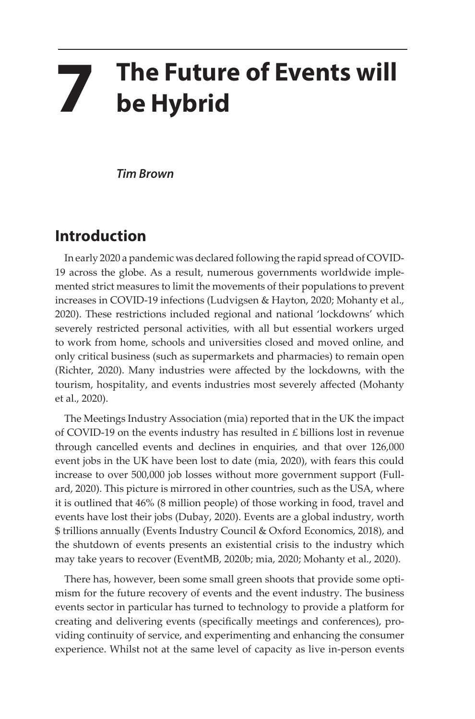## **7 The Future of Events will be Hybrid**

*Tim Brown*

## **Introduction**

In early 2020 a pandemic was declared following the rapid spread of COVID-19 across the globe. As a result, numerous governments worldwide implemented strict measures to limit the movements of their populations to prevent increases in COVID-19 infections (Ludvigsen & Hayton, 2020; Mohanty et al., 2020). These restrictions included regional and national 'lockdowns' which severely restricted personal activities, with all but essential workers urged to work from home, schools and universities closed and moved online, and only critical business (such as supermarkets and pharmacies) to remain open (Richter, 2020). Many industries were affected by the lockdowns, with the tourism, hospitality, and events industries most severely affected (Mohanty et al., 2020).

The Meetings Industry Association (mia) reported that in the UK the impact of COVID-19 on the events industry has resulted in £ billions lost in revenue through cancelled events and declines in enquiries, and that over 126,000 event jobs in the UK have been lost to date (mia, 2020), with fears this could increase to over 500,000 job losses without more government support (Fullard, 2020). This picture is mirrored in other countries, such as the USA, where it is outlined that 46% (8 million people) of those working in food, travel and events have lost their jobs (Dubay, 2020). Events are a global industry, worth \$ trillions annually (Events Industry Council & Oxford Economics, 2018), and the shutdown of events presents an existential crisis to the industry which may take years to recover (EventMB, 2020b; mia, 2020; Mohanty et al., 2020).

There has, however, been some small green shoots that provide some optimism for the future recovery of events and the event industry. The business events sector in particular has turned to technology to provide a platform for creating and delivering events (specifically meetings and conferences), providing continuity of service, and experimenting and enhancing the consumer experience. Whilst not at the same level of capacity as live in-person events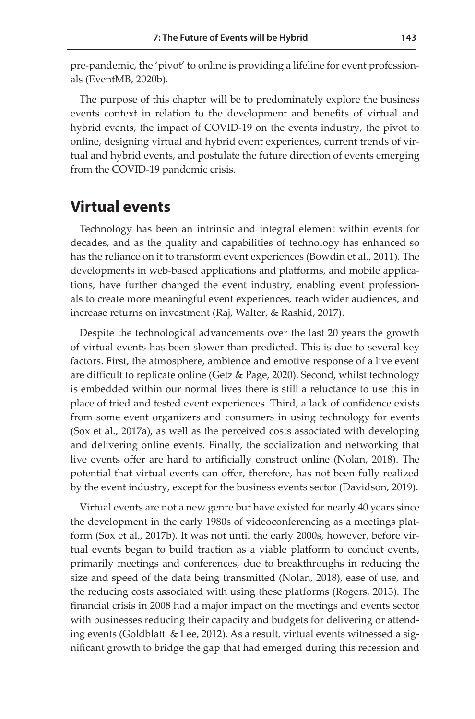pre-pandemic, the 'pivot' to online is providing a lifeline for event professionals (EventMB, 2020b).

The purpose of this chapter will be to predominately explore the business events context in relation to the development and benefits of virtual and hybrid events, the impact of COVID-19 on the events industry, the pivot to online, designing virtual and hybrid event experiences, current trends of virtual and hybrid events, and postulate the future direction of events emerging from the COVID-19 pandemic crisis.

## **Virtual events**

Technology has been an intrinsic and integral element within events for decades, and as the quality and capabilities of technology has enhanced so has the reliance on it to transform event experiences (Bowdin et al., 2011). The developments in web-based applications and platforms, and mobile applications, have further changed the event industry, enabling event professionals to create more meaningful event experiences, reach wider audiences, and increase returns on investment (Raj, Walter, & Rashid, 2017).

Despite the technological advancements over the last 20 years the growth of virtual events has been slower than predicted. This is due to several key factors. First, the atmosphere, ambience and emotive response of a live event are difficult to replicate online (Getz & Page, 2020). Second, whilst technology is embedded within our normal lives there is still a reluctance to use this in place of tried and tested event experiences. Third, a lack of confidence exists from some event organizers and consumers in using technology for events (Sox et al., 2017a), as well as the perceived costs associated with developing and delivering online events. Finally, the socialization and networking that live events offer are hard to artificially construct online (Nolan, 2018). The potential that virtual events can offer, therefore, has not been fully realized by the event industry, except for the business events sector (Davidson, 2019).

Virtual events are not a new genre but have existed for nearly 40 years since the development in the early 1980s of videoconferencing as a meetings platform (Sox et al., 2017b). It was not until the early 2000s, however, before virtual events began to build traction as a viable platform to conduct events, primarily meetings and conferences, due to breakthroughs in reducing the size and speed of the data being transmitted (Nolan, 2018), ease of use, and the reducing costs associated with using these platforms (Rogers, 2013). The financial crisis in 2008 had a major impact on the meetings and events sector with businesses reducing their capacity and budgets for delivering or attending events (Goldblatt & Lee, 2012). As a result, virtual events witnessed a significant growth to bridge the gap that had emerged during this recession and